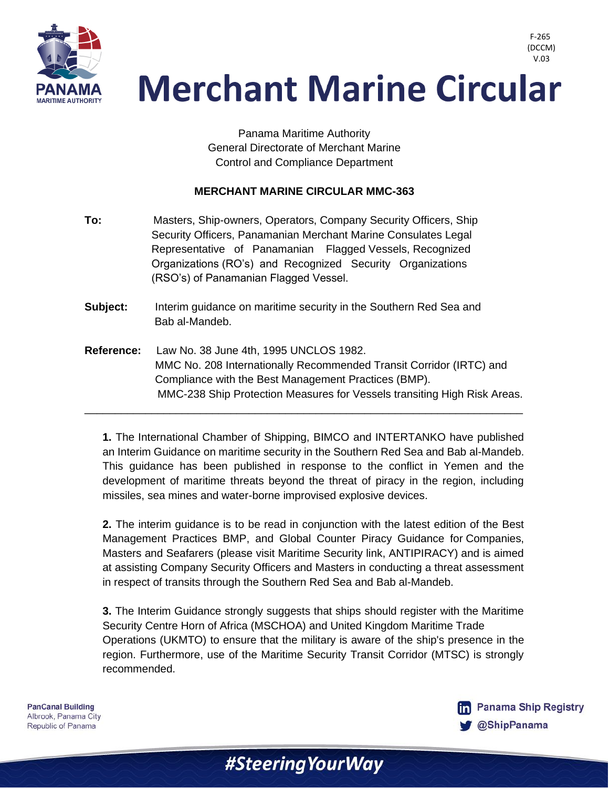

 V.03**Merchant Marine Circular** 

> Panama Maritime Authority General Directorate of Merchant Marine Control and Compliance Department

#### **MERCHANT MARINE CIRCULAR MMC-363**

- **To:** Masters, Ship-owners, Operators, Company Security Officers, Ship Security Officers, Panamanian Merchant Marine Consulates Legal Representative of Panamanian Flagged Vessels, Recognized Organizations (RO's) and Recognized Security Organizations (RSO's) of Panamanian Flagged Vessel.
- **Subject:** Interim guidance on maritime security in the Southern Red Sea and Bab al-Mandeb.
- **Reference:** Law No. 38 June 4th, 1995 UNCLOS 1982. MMC No. 208 Internationally Recommended Transit Corridor (IRTC) and Compliance with the Best Management Practices (BMP). MMC-238 Ship Protection Measures for Vessels transiting High Risk Areas.

\_\_\_\_\_\_\_\_\_\_\_\_\_\_\_\_\_\_\_\_\_\_\_\_\_\_\_\_\_\_\_\_\_\_\_\_\_\_\_\_\_\_\_\_\_\_\_\_\_\_\_\_\_\_\_\_\_\_\_\_\_\_\_\_\_\_\_\_\_\_\_\_

**1.** The International Chamber of Shipping, BIMCO and INTERTANKO have published an Interim Guidance on maritime security in the Southern Red Sea and Bab al-Mandeb. This guidance has been published in response to the conflict in Yemen and the development of maritime threats beyond the threat of piracy in the region, including missiles, sea mines and water-borne improvised explosive devices.

**2.** The interim guidance is to be read in conjunction with the latest edition of the Best Management Practices BMP, and Global Counter Piracy Guidance for Companies, Masters and Seafarers (please visit Maritime Security link, ANTIPIRACY) and is aimed at assisting Company Security Officers and Masters in conducting a threat assessment in respect of transits through the Southern Red Sea and Bab al-Mandeb.

**3.** The Interim Guidance strongly suggests that ships should register with the Maritime Security Centre Horn of Africa (MSCHOA) and United Kingdom Maritime Trade Operations (UKMTO) to ensure that the military is aware of the ship's presence in the region. Furthermore, use of the Maritime Security Transit Corridor (MTSC) is strongly recommended.

**PanCanal Building** Albrook, Panama City Republic of Panama



F-265 (DCCM)

#Steering Your Way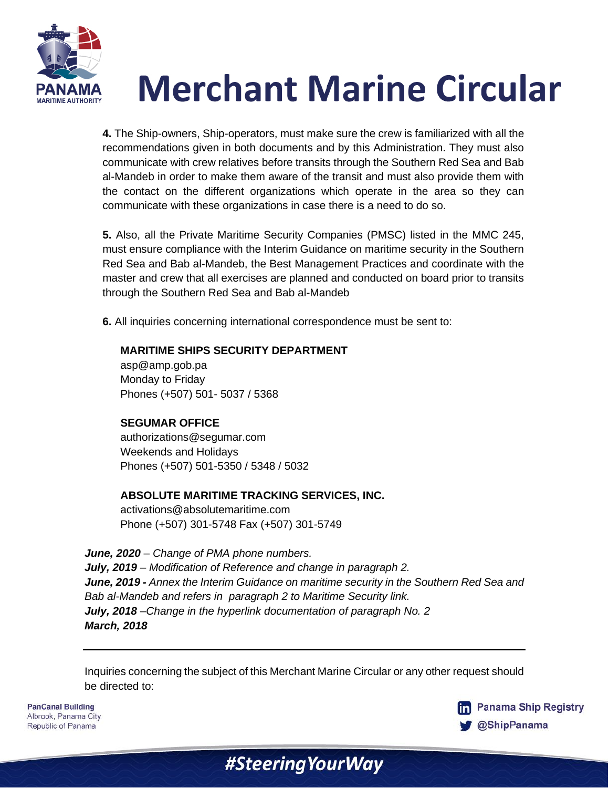

# **Merchant Marine Circular**

**4.** The Ship-owners, Ship-operators, must make sure the crew is familiarized with all the recommendations given in both documents and by this Administration. They must also communicate with crew relatives before transits through the Southern Red Sea and Bab al-Mandeb in order to make them aware of the transit and must also provide them with the contact on the different organizations which operate in the area so they can communicate with these organizations in case there is a need to do so.

**5.** Also, all the Private Maritime Security Companies (PMSC) listed in the MMC 245, must ensure compliance with the Interim Guidance on maritime security in the Southern Red Sea and Bab al-Mandeb, the Best Management Practices and coordinate with the master and crew that all exercises are planned and conducted on board prior to transits through the Southern Red Sea and Bab al-Mandeb

**6.** All inquiries concerning international correspondence must be sent to:

### **MARITIME SHIPS SECURITY DEPARTMENT**

asp@amp.gob.pa Monday to Friday Phones (+507) 501- 5037 / 5368

### **SEGUMAR OFFICE**

authorizations@segumar.com Weekends and Holidays Phones (+507) 501-5350 / 5348 / 5032

### **ABSOLUTE MARITIME TRACKING SERVICES, INC.**

activations@absolutemaritime.com Phone (+507) 301-5748 Fax (+507) 301-5749

*June, 2020 – Change of PMA phone numbers. July, 2019 – Modification of Reference and change in paragraph 2. June, 2019 - Annex the Interim Guidance on maritime security in the Southern Red Sea and Bab al-Mandeb and refers in paragraph 2 to Maritime Security link. July, 2018 –Change in the hyperlink documentation of paragraph No. 2 March, 2018*

Inquiries concerning the subject of this Merchant Marine Circular or any other request should be directed to:

#Steering Your Way

**PanCanal Building** Albrook, Panama City Republic of Panama